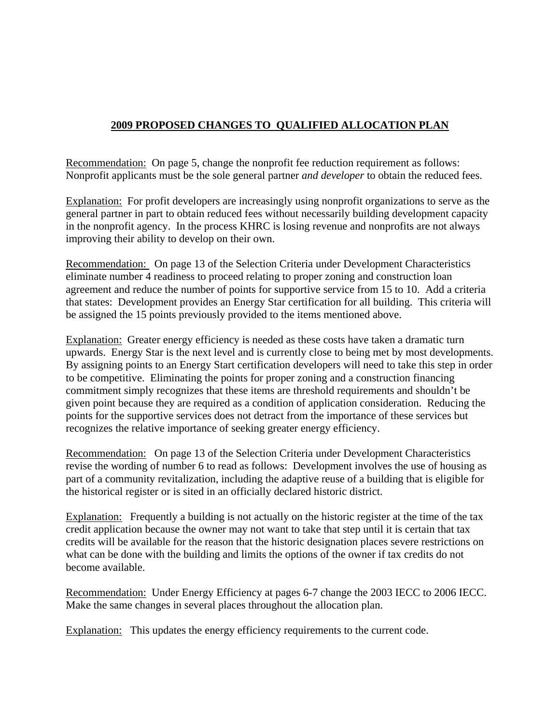## **2009 PROPOSED CHANGES TO QUALIFIED ALLOCATION PLAN**

Recommendation: On page 5, change the nonprofit fee reduction requirement as follows: Nonprofit applicants must be the sole general partner *and developer* to obtain the reduced fees.

Explanation: For profit developers are increasingly using nonprofit organizations to serve as the general partner in part to obtain reduced fees without necessarily building development capacity in the nonprofit agency. In the process KHRC is losing revenue and nonprofits are not always improving their ability to develop on their own.

Recommendation: On page 13 of the Selection Criteria under Development Characteristics eliminate number 4 readiness to proceed relating to proper zoning and construction loan agreement and reduce the number of points for supportive service from 15 to 10. Add a criteria that states: Development provides an Energy Star certification for all building. This criteria will be assigned the 15 points previously provided to the items mentioned above.

Explanation: Greater energy efficiency is needed as these costs have taken a dramatic turn upwards. Energy Star is the next level and is currently close to being met by most developments. By assigning points to an Energy Start certification developers will need to take this step in order to be competitive. Eliminating the points for proper zoning and a construction financing commitment simply recognizes that these items are threshold requirements and shouldn't be given point because they are required as a condition of application consideration. Reducing the points for the supportive services does not detract from the importance of these services but recognizes the relative importance of seeking greater energy efficiency.

Recommendation: On page 13 of the Selection Criteria under Development Characteristics revise the wording of number 6 to read as follows: Development involves the use of housing as part of a community revitalization, including the adaptive reuse of a building that is eligible for the historical register or is sited in an officially declared historic district.

Explanation: Frequently a building is not actually on the historic register at the time of the tax credit application because the owner may not want to take that step until it is certain that tax credits will be available for the reason that the historic designation places severe restrictions on what can be done with the building and limits the options of the owner if tax credits do not become available.

Recommendation: Under Energy Efficiency at pages 6-7 change the 2003 IECC to 2006 IECC. Make the same changes in several places throughout the allocation plan.

Explanation: This updates the energy efficiency requirements to the current code.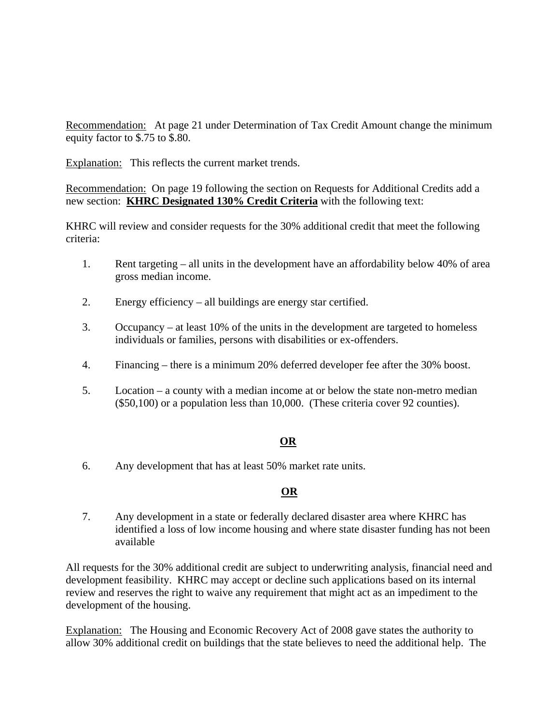Recommendation: At page 21 under Determination of Tax Credit Amount change the minimum equity factor to \$.75 to \$.80.

Explanation: This reflects the current market trends.

Recommendation: On page 19 following the section on Requests for Additional Credits add a new section: **KHRC Designated 130% Credit Criteria** with the following text:

KHRC will review and consider requests for the 30% additional credit that meet the following criteria:

- 1. Rent targeting all units in the development have an affordability below 40% of area gross median income.
- 2. Energy efficiency all buildings are energy star certified.
- 3. Occupancy at least 10% of the units in the development are targeted to homeless individuals or families, persons with disabilities or ex-offenders.
- 4. Financing there is a minimum 20% deferred developer fee after the 30% boost.
- 5. Location a county with a median income at or below the state non-metro median (\$50,100) or a population less than 10,000. (These criteria cover 92 counties).

## **OR**

6. Any development that has at least 50% market rate units.

## **OR**

7. Any development in a state or federally declared disaster area where KHRC has identified a loss of low income housing and where state disaster funding has not been available

All requests for the 30% additional credit are subject to underwriting analysis, financial need and development feasibility. KHRC may accept or decline such applications based on its internal review and reserves the right to waive any requirement that might act as an impediment to the development of the housing.

Explanation: The Housing and Economic Recovery Act of 2008 gave states the authority to allow 30% additional credit on buildings that the state believes to need the additional help. The